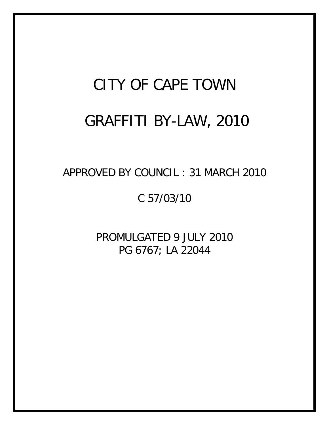# CITY OF CAPE TOWN GRAFFITI BY-LAW, 2010

APPROVED BY COUNCIL : 31 MARCH 2010

C 57/03/10

PROMULGATED 9 JULY 2010 PG 6767; LA 22044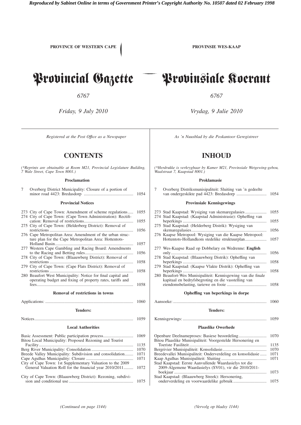**PROVINCE OF WESTERN CAPE PROVINSIE WES-KAAP** 

#### **CONTENTS INHOUD**

*(\*Reprints are obtainable at Room M21, Provincial Legislature Building, 7 Wale Street, Cape Town 8001.)*

#### **Proclamation**

| 7 | Overberg District Municipality: Closure of a portion of                                                                    |              |
|---|----------------------------------------------------------------------------------------------------------------------------|--------------|
|   | <b>Provincial Notices</b>                                                                                                  |              |
|   | 273 City of Cape Town: Amendment of scheme regulations<br>274 City of Cape Town: (Cape Town Administration): Rectifi-      | 1055<br>1055 |
|   | 275 City of Cape Town: (Helderberg District): Removal of                                                                   | 1056         |
|   | 276 Cape Metropolitan Area: Amendment of the urban struc-<br>ture plan for the Cape Metropolitan Area: Hottentots-         |              |
|   | 277 Western Cape Gambling and Racing Board: Amendments                                                                     | 1057<br>1056 |
|   | 278 City of Cape Town: (Blaauwberg District): Removal of                                                                   | 1058         |
|   | 279 City of Cape Town: (Cape Flats District): Removal of<br>restrictions                                                   | 1058         |
|   | 280 Beaufort West Municipality: Notice for final capital and<br>operating budget and fixing of property rates, tariffs and | 1058         |
|   | <b>Removal of restrictions in towns</b>                                                                                    |              |
|   |                                                                                                                            | 1060         |
|   | <b>Tenders:</b>                                                                                                            |              |
|   |                                                                                                                            | 1059         |

#### **Local Authorities**

|                                                              | 1069 |
|--------------------------------------------------------------|------|
| Bitou Local Municipality: Proposed Rezoning and Tourist      |      |
|                                                              | 1135 |
|                                                              | 1070 |
| Breede Valley Municipality: Subdivision and consolidation    | 1071 |
|                                                              | 1071 |
| City of Cape Town: 1st Supplementary Valuation to the 2009   |      |
| General Valuation Roll for the financial year 2010/2011      | 1072 |
| City of Cape Town: (Blaauwberg District): Rezoning, subdivi- |      |
|                                                              |      |

## Provincial Gazette Provinsiale Koerant

*6767 6767*

*Friday, 9 July 2010 Vrydag, 9 Julie 2010*

*Registered at the Post Offıce as a Newspaper As 'n Nuusblad by die Poskantoor Geregistreer*

*(\*Herdrukke is verkrygbaar by Kamer M21, Provinsiale Wetgewing-gebou, Waalstraat 7, Kaapstad 8001.)*

#### **Proklamasie**

|                                   | 7<br>Overberg Distriksmunisipaliteit: Sluiting van 'n gedeelte                                                      | 1054         |  |
|-----------------------------------|---------------------------------------------------------------------------------------------------------------------|--------------|--|
|                                   | <b>Provinsiale Kennisgewings</b>                                                                                    |              |  |
|                                   | 274 Stad Kaapstad: (Kaapstad Administrasie): Opheffing van                                                          | 1055         |  |
|                                   | 275 Stad Kaapstad: (Helderberg Distrik): Wysiging van                                                               | 1055<br>1056 |  |
|                                   | 276 Kaapse Metropool: Wysiging van die Kaapse Metropool:                                                            | 1057         |  |
|                                   | 277 Wes-Kaapse Raad op Dobbelary en Wedrenne: English                                                               | 1056         |  |
|                                   | 278 Stad Kaapstad: (Blaauwberg Distrik): Opheffing van<br>279 Stad Kaapstad: (Kaapse Vlakte Distrik): Opheffing van | 1058         |  |
|                                   | 280 Beaufort-Wes Munisipaliteit: Kennisgewing van die finale                                                        | 1058         |  |
|                                   | kapitaal en bedryfsbegroting en die vasstelling van                                                                 | 1058         |  |
| Opheffing van beperkings in dorpe |                                                                                                                     |              |  |
|                                   |                                                                                                                     | 1060         |  |
| <b>Tenders:</b>                   |                                                                                                                     |              |  |
|                                   |                                                                                                                     | 1059         |  |
| <b>Plaaslike Owerhede</b>         |                                                                                                                     |              |  |
|                                   |                                                                                                                     | $ -$         |  |

| Bitou Plaaslike Munisipaliteit: Voorgestelde Hersonering en |      |
|-------------------------------------------------------------|------|
|                                                             | 1135 |
|                                                             | 1070 |
| Breedevallei Munisipaliteit: Onderverdeling en konsolidasie | 1071 |
|                                                             | 1071 |
| Stad Kaapstad: Eerste Aanvullende Waardasielys tot die      |      |
| 2009-Algemene Waardasielys (SV01), vir die 2010/2011-       |      |
|                                                             | 1073 |
| Stad Kaapstad: (Blaauwberg Streek): Hersonering,            |      |
|                                                             |      |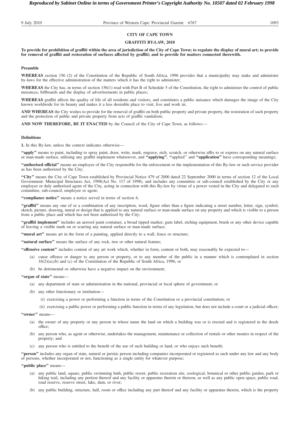### **CITY OF CAPE TOWN**

#### **GRAFFITI BY-LAW, 2010**

**To provide for prohibition of graffiti within the area of jurisdiction of the City of Cape Town; to regulate the display of mural art; to provide for removal of graffiti and restoration of surfaces affected by graffiti; and to provide for matters connected therewith.**

#### **Preamble**

**WHEREAS** section 156 (2) of the Constitution of the Republic of South Africa, 1996 provides that a municipality may make and administer by-laws for the effective administration of the matters which it has the right to administer;

WHEREAS the City has, in terms of section 156(1) read with Part B of Schedule 5 of the Constitution, the right to administer the control of public nuisances, billboards and the display of advertisements in public places;

**WHEREAS** graffiti affects the quality of life of all residents and visitors, and constitutes a public nuisance which damages the image of the City known worldwide for its beauty and makes it a less desirable place to visit, live and work in;

**AND WHEREAS** the City wishes to provide for the removal of graffiti on both public property and private property, the restoration of such property and the protection of public and private property from acts of graffiti vandalism;

**AND NOW THEREFORE, BE IT ENACTED** by the Council of the City of Cape Town, as follows:—

#### **Definitions**

**1.** In this By-law, unless the context indicates otherwise—

**''apply''** means to paint, including to spray paint, draw, write, mark, engrave, etch, scratch, or otherwise affix to or express on any natural surface or man-made surface, utilising any graffiti implement whatsoever, and **''applying''**, **''**applied'' and **''application''** have corresponding meanings;

**''authorised official''** means an employee of the City responsible for the enforcement or the implementation of this By-law or such service provider as has been authorized by the City;

**''City''** means the City of Cape Town established by Provincial Notice 479 of 2000 dated 22 September 2000 in terms of section 12 of the Local Government: Municipal Structures Act, 1998(Act No. 117 of 1998), and includes any committee or sub-council established by the City or any employee or duly authorised agent of the City, acting in connection with this By-law by virtue of a power vested in the City and delegated to such committee, sub-council, employee or agent;

**''compliance notice''** means a notice served in terms of section 4;

**''graffiti''** means any one of or a combination of any inscription, word, figure other than a figure indicating a street number, letter, sign, symbol, sketch, picture, drawing, mural or design that is applied to any natural surface or man-made surface on any property and which is visible to a person from a public place and which has not been authorised by the City;

**''graffiti implement''** includes an aerosol paint container, a broad tipped marker, gum label, etching equipment, brush or any other device capable of leaving a visible mark on or scarring any natural surface or man-made surface;

**''mural art''** means art in the form of a painting, applied directly to a wall, fence or structure;

"natural surface" means the surface of any rock, tree or other natural feature;

**''offensive content''** includes content of any art work which, whether in form, content or both, may reasonably be expected to—

- (a) cause offence or danger to any person or property, or to any member of the public in a manner which is contemplated in section 16(2)(a),(b) and (c) of the Constitution of the Republic of South Africa, 1996; or
- (b) be detrimental or otherwise have a negative impact on the environment;

#### **''organ of state''** means—

- (a) any department of state or administration in the national, provincial or local sphere of government; or
- (b) any other functionary or institution—
	- (i) exercising a power or performing a function in terms of the Constitution or a provincial constitution; or
	- (ii) exercising a public power or performing a public function in terms of any legislation, but does not include a court or a judicial officer;

#### "owner" means-

- (a) the owner of any property or any person in whose name the land on which a building was or is erected and is registered in the deeds office;
- (b) any person who, as agent or otherwise, undertakes the management, maintenance or collection of rentals or other monies in respect of the property; and
- (c) any person who is entitled to the benefit of the use of such building or land, or who enjoys such benefit;

**''person''** includes any organ of state, natural or juristic person including companies incorporated or registered as such under any law and any body of persons, whether incorporated or not, functioning as a single entity for whatever purpose;

#### **''public place''** means—

- (a) any public land, square, public swimming bath, public resort, public recreation site, zoological, botanical or other public garden, park or hiking trail, including any portion thereof and any facility or apparatus therein or thereon, as well as any public open space, public road, road reserve, reserve street, lake, dam, or river;
- (b) any public building, structure, hall, room or office including any part thereof and any facility or apparatus therein, which is the property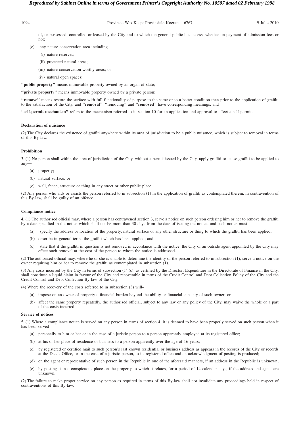1094 Provinsie Wes-Kaap: Provinsiale Koerant 6767 9 Julie 2010

of, or possessed, controlled or leased by the City and to which the general public has access, whether on payment of admission fees or not;

- (c) any nature conservation area including
	- (i) nature reserves;
	- (ii) protected natural areas;
	- (iii) nature conservation worthy areas; or
	- (iv) natural open spaces;

"public property" means immovable property owned by an organ of state;

**''private property''** means immovable property owned by a private person;

**''remove''** means restore the surface with full functionality of purpose to the same or to a better condition than prior to the application of graffiti to the satisfaction of the City, and **''removal''**, **''**removing'' and **''removed''** have corresponding meanings; and

**''self-permit mechanism''** refers to the mechanism referred to in section 10 for an application and approval to effect a self-permit.

#### **Declaration of nuisance**

(2) The City declares the existence of graffiti anywhere within its area of jurisdiction to be a public nuisance, which is subject to removal in terms of this By-law.

#### **Prohibition**

3. (1) No person shall within the area of jurisdiction of the City, without a permit issued by the City, apply graffiti or cause graffiti to be applied to any—

- (a) property;
- (b) natural surface; or
- (c) wall, fence, structure or thing in any street or other public place.

(2) Any person who aids or assists the person referred to in subsection (1) in the application of graffiti as contemplated therein, in contravention of this By-law, shall be guilty of an offence.

#### **Compliance notice**

**4.** (1) The authorised official may, where a person has contravened section 3, serve a notice on such person ordering him or her to remove the graffiti by a date specified in the notice which shall not be more than 30 days from the date of issuing the notice, and such notice must-

- (a) specify the address or location of the property, natural surface or any other structure or thing to which the graffiti has been applied;
- (b) describe in general terms the graffiti which has been applied; and
- (c) state that if the graffiti in question is not removed in accordance with the notice, the City or an outside agent appointed by the City may effect such removal at the cost of the person to whom the notice is addressed.

(2) The authorised official may, where he or she is unable to determine the identity of the person referred to in subsection (1), serve a notice on the owner requiring him or her to remove the graffiti as contemplated in subsection (1).

(3) Any costs incurred by the City in terms of subsection (1) (c), as certified by the Director: Expenditure in the Directorate of Finance in the City, shall constitute a liquid claim in favour of the City and recoverable in terms of the Credit Control and Debt Collection Policy of the City and the Credit Control and Debt Collection By-law of the City.

(4) Where the recovery of the costs referred to in subsection (3) will–

- (a) impose on an owner of property a financial burden beyond the ability or financial capacity of such owner; or
- (b) affect the same property repeatedly, the authorised official, subject to any law or any policy of the City, may waive the whole or a part of the costs incurred.

#### **Service of notices**

**5.** (1) Where a compliance notice is served on any person in terms of section 4, it is deemed to have been properly served on such person when it has been served—

- (a) personally to him or her or in the case of a juristic person to a person apparently employed at its registered office;
- (b) at his or her place of residence or business to a person apparently over the age of 16 years;
- (c) by registered or certified mail to such person's last known residential or business address as appears in the records of the City or records at the Deeds Office, or in the case of a juristic person, to its registered office and an acknowledgment of posting is produced;
- (d) on the agent or representative of such person in the Republic in one of the aforesaid manners, if an address in the Republic is unknown;
- (e) by posting it in a conspicuous place on the property to which it relates, for a period of 14 calendar days, if the address and agent are unknown.

(2) The failure to make proper service on any person as required in terms of this By-law shall not invalidate any proceedings held in respect of contraventions of this By-law.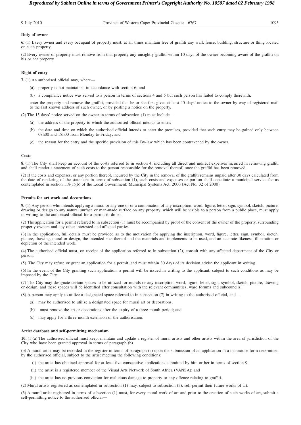9 July 2010 Province of Western Cape: Provincial Gazette 6767 1095

#### **Duty of owner**

**6.** (1) Every owner and every occupant of property must, at all times maintain free of graffiti any wall, fence, building, structure or thing located on such property.

(2) Every owner of property must remove from that property any unsightly graffiti within 10 days of the owner becoming aware of the graffiti on his or her property.

#### **Right of entry**

**7.** (1) An authorised official may, where—

- (a) property is not maintained in accordance with section 6; and
- (b) a compliance notice was served to a person in terms of sections 4 and 5 but such person has failed to comply therewith,

enter the property and remove the graffiti, provided that he or she first gives at least 15 days' notice to the owner by way of registered mail to the last known address of such owner, or by posting a notice on the property.

(2) The 15 days' notice served on the owner in terms of subsection (1) must include—

- (a) the address of the property to which the authorised official intends to enter;
- (b) the date and time on which the authorised official intends to enter the premises, provided that such entry may be gained only between 08h00 and 18h00 from Monday to Friday; and
- (c) the reason for the entry and the specific provision of this By-law which has been contravened by the owner.

#### **Costs**

**8.** (1) The City shall keep an account of the costs referred to in section 4, including all direct and indirect expenses incurred in removing graffiti and shall render a statement of such costs to the person responsible for the removal thereof, once the graffiti has been removed.

(2) If the costs and expenses, or any portion thereof, incurred by the City in the removal of the graffiti remains unpaid after 30 days calculated from the date of rendering of the statement in terms of subsection (1), such costs and expenses or portion shall constitute a municipal service fee as contemplated in section 118(1)(b) of the Local Government: Municipal Systems Act, 2000 (Act No. 32 of 2000).

#### **Permits for art work and decorations**

**9.** (1) Any person who intends applying a mural or any one of or a combination of any inscription, word, figure, letter, sign, symbol, sketch, picture, drawing or design to any natural surface or man-made surface on any property, which will be visible to a person from a public place, must apply in writing to the authorised official for a permit to do so.

(2) The application for a permit referred to in subsection (1) must be accompanied by proof of the consent of the owner of the property, surrounding property owners and any other interested and affected parties.

(3) In the application, full details must be provided as to the motivation for applying the inscription, word, figure, letter, sign, symbol, sketch, picture, drawing, mural or design, the intended size thereof and the materials and implements to be used, and an accurate likeness, illustration or depiction of the intended work.

(4) The authorised official must, on receipt of the application referred to in subsection (2), consult with any affected department of the City or person.

(5) The City may refuse or grant an application for a permit, and must within 30 days of its decision advise the applicant in writing.

(6) In the event of the City granting such application, a permit will be issued in writing to the applicant, subject to such conditions as may be imposed by the City.

(7) The City may designate certain spaces to be utilized for murals or any inscription, word, figure, letter, sign, symbol, sketch, picture, drawing or design, and these spaces will be identified after consultation with the relevant communities, ward forums and subcouncils.

(8) A person may apply to utilize a designated space referred to in subsection (7) in writing to the authorised official, and—

- (a) may be authorised to utilize a designated space for mural art or decorations;
- (b) must remove the art or decorations after the expiry of a three month period; and
- (c) may apply for a three month extension of the authorisation.

#### **Artist database and self-permitting mechanism**

**10.** (1)(a) The authorised official must keep, maintain and update a register of mural artists and other artists within the area of jurisdiction of the City who have been granted approval in terms of paragraph (b).

(b) A mural artist may be recorded in the register in terms of paragraph (a) upon the submission of an application in a manner or form determined by the authorised official, subject to the artist meeting the following conditions:

- (i) the artist has obtained approval for at least five consecutive applications submitted by him or her in terms of section 9;
- (ii) the artist is a registered member of the Visual Arts Network of South Africa (VANSA); and
- (iii) the artist has no previous conviction for malicious damage to property or any offence relating to graffiti.

(2) Mural artists registered as contemplated in subsection (1) may, subject to subsection (3), self-permit their future works of art.

(3) A mural artist registered in terms of subsection (1) must, for every mural work of art and prior to the creation of such works of art, submit a self-permitting notice to the authorised official—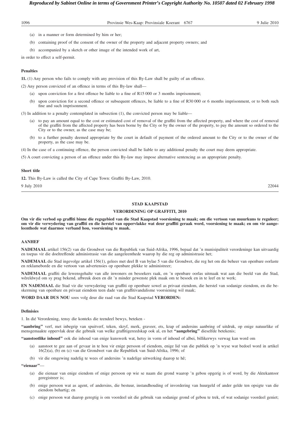| 1096 | Provinsie Wes-Kaap: Provinsiale Koerant 6767<br>9 Julie 2010                                   |
|------|------------------------------------------------------------------------------------------------|
|      | (a) in a manner or form determined by him or her;                                              |
| (b)  | containing proof of the consent of the owner of the property and adjacent property owners; and |

(b) accompanied by a sketch or other image of the intended work of art,

in order to effect a self-permit.

#### **Penalties**

**11.** (1) Any person who fails to comply with any provision of this By-Law shall be guilty of an offence.

- (2) Any person convicted of an offence in terms of this By-law shall—
	- (a) upon conviction for a first offence be liable to a fine of R15 000 or 3 months imprisonment;
	- (b) upon conviction for a second offence or subsequent offences, be liable to a fine of R30 000 or 6 months imprisonment, or to both such fine and such imprisonment.

(3) In addition to a penalty contemplated in subsection (1), the convicted person may be liable—

- (a) to pay an amount equal to the cost or estimated cost of removal of the graffiti from the affected property, and where the cost of removal of the graffiti from the affected property has been borne by the City or by the owner of the property, to pay the amount so ordered to the City or to the owner, as the case may be;
- (b) to a further penalty deemed appropriate by the court in default of payment of the ordered amount to the City or to the owner of the property, as the case may be.

(4) In the case of a continuing offence, the person convicted shall be liable to any additional penalty the court may deem appropriate.

(5) A court convicting a person of an offence under this By-law may impose alternative sentencing as an appropriate penalty.

#### **Short title**

**12.** This By-Law is called the City of Cape Town: Graffiti By-Law, 2010.

9 July 2010 22044

#### **STAD KAAPSTAD**

#### **VERORDENING OP GRAFFITI, 2010**

**Om vir die verbod op graffiti binne die regsgebied van die Stad Kaapstad voorsiening te maak; om die vertoon van muurkuns te reguleer; om vir die verwydering van graffiti en die herstel van oppervlakke wat deur graffiti geraak word, voorsiening te maak; en om vir aangeleenthede wat daarmee verband hou, voorsiening te maak.**

#### **AANHEF**

**NADEMAAL** artikel 156(2) van die Grondwet van die Republiek van Suid-Afrika, 1996, bepaal dat 'n munisipaliteit verordeninge kan uitvaardig en toepas vir die doeltreffende administrasie van die aangeleenthede waarop hy die reg op administrasie het;

**NADEMAAL** die Stad ingevolge artikel 156(1), gelees met deel B van bylae 5 van die Grondwet, die reg het om die beheer van openbare oorlaste en reklameborde en die vertoon van advertensies op openbare plekke te administreer;

**NADEMAAL** graffiti die lewensgehalte van alle inwoners en besoekers raak, en 'n openbare oorlas uitmaak wat aan die beeld van die Stad, wêreldwyd om sy prag bekend, afbreuk doen en dit 'n minder gewenste plek maak om te besoek en in te leef en te werk;

**EN NADEMAAL** die Stad vir die verwydering van graffiti op openbare sowel as privaat eiendom, die herstel van sodanige eiendom, en die beskerming van openbare en privaat eiendom teen dade van graffitivandalisme voorsiening wil maak;

**WORD DAAR DUS NOU** soos volg deur die raad van die Stad Kaapstad **VERORDEN:**

#### **Definisies**

1. In dié Verordening, tensy die konteks die teendeel bewys, beteken -

**''aanbring''** verf, met inbegrip van spuitverf, teken, skryf, merk, graveer, ets, krap of andersins aanbring of uitdruk, op enige natuurlike of mensgemaakte oppervlak deur die gebruik van welke graffitigereedskap ook al, en het **''aangebring''** dieselfde betekenis;

**''aanstootlike inhoud''** ook die inhoud van enige kunswerk wat, hetsy in vorm of inhoud of albei, billikerwys verwag kan word om

- (a) aanstoot te gee aan of gevaar in te hou vir enige persoon of eiendom, enige lid van die publiek op 'n wyse wat bedoel word in artikel 16(2)(a), (b) en (c) van die Grondwet van die Republiek van Suid-Afrika, 1996; of
- (b) vir die omgewing nadelig te wees of andersins 'n nadelige uitwerking daarop te hê;

**''eienaar''**—

- (a) die eienaar van enige eiendom of enige persoon op wie se naam die grond waarop 'n gebou opgerig is of word, by die Aktekantoor geregistreer is;
- (b) enige persoon wat as agent, of andersins, die bestuur, instandhouding of invordering van huurgeld of ander gelde ten opsigte van die eiendom behartig; en
- (c) enige persoon wat daarop geregtig is om voordeel uit die gebruik van sodanige grond of gebou te trek, of wat sodanige voordeel geniet;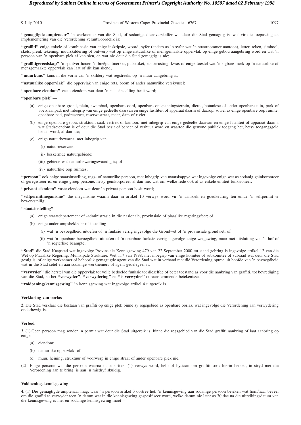**''gemagtigde amptenaar''** 'n werknemer van die Stad, of sodanige diensverskaffer wat deur die Stad gemagtig is, wat vir die toepassing en implementering van dié Verordening verantwoordelik is;

**''graffiti''** enige enkele of kombinasie van enige inskripsie, woord, syfer (anders as 'n syfer wat 'n straatnommer aantoon), letter, teken, simbool, skets, prent, tekening, muurskildering of ontwerp wat op enige natuurlike of mensgemaakte oppervlak op enige gebou aangebring word en wat 'n persoon van 'n openbare plek af kan sien, en wat nie deur die Stad gemagtig is nie;

**''graffitigereedskap''** 'n spuitverfhouer, 'n breëpuntmerker, plaketiket, etstoerusting, kwas of enige toestel wat 'n sigbare merk op 'n natuurlike of mensgemaakte oppervlak kan laat of dit kan skend;

"muurkuns" kuns in die vorm van 'n skildery wat regstreeks op 'n muur aangebring is;

**''natuurlike oppervlak''** die oppervlak van enige rots, boom of ander natuurlike verskynsel;

**''openbare eiendom''** vaste eiendom wat deur 'n staatsinstelling besit word;

#### **''openbare plek''**—

- (a) enige openbare grond, plein, swembad, openbare oord, openbare ontspanningsterrein, diere-, botaniese of ander openbare tuin, park of voetslaanpad, met inbegrip van enige gedeelte daarvan en enige fasiliteit of apparaat daarin of daarop, sowel as enige openbare oop ruimte, openbare pad, padreserwe, reserwestraat, meer, dam of rivier;
- (b) enige openbare gebou, struktuur, saal, vertrek of kantoor, met inbegrip van enige gedeelte daarvan en enige fasiliteit of apparaat daarin, wat Stadseiendom is of deur die Stad besit of beheer of verhuur word en waartoe die gewone publiek toegang het, hetsy toegangsgeld betaal word, al dan nie;
- (c) enige natuurbewarea, met inbegrip van
	- (i) natuurreservate;
	- (ii) beskermde natuurgebiede;
	- (iii) gebiede wat natuurbewaringswaardig is; of
	- (iv) natuurlike oop ruimtes;

**''persoon''** ook enige staatsinstelling, regs- of natuurlike persoon, met inbegrip van maatskappye wat ingevolge enige wet as sodanig geïnkorporeer of geregistreer is, en enige groep persone, hetsy geïnkorporeer al dan nie, wat om welke rede ook al as enkele entiteit funksioneer;

"privaat eiendom" vaste eiendom wat deur 'n privaat persoon besit word;

**''selfpermitmeganisme''** die meganisme waarin daar in artikel 10 verwys word vir 'n aansoek en goedkeuring ten einde 'n selfpermit te bewerkstellig;

#### **''staatsinstelling''**—

- (a) enige staatsdepartement of -administrasie in die nasionale, provinsiale of plaaslike regeringsfeer; of
- (b) enige ander ampsbekleder of instelling—
	- (i) wat 'n bevoegdheid uitoefen of 'n funksie verrig ingevolge die Grondwet of 'n provinsiale grondwet; of
	- (ii) wat 'n openbare bevoegdheid uitoefen of 'n openbare funksie verrig ingevolge enige wetgewing, maar met uitsluiting van 'n hof of 'n regterlike beampte;

**''Stad''** die Stad Kaapstad wat ingevolge Provinsiale Kennisgewing 479 van 22 September 2000 tot stand gebring is ingevolge artikel 12 van die Wet op Plaaslike Regering: Munisipale Strukture, Wet 117 van 1998, met inbegrip van enige komitee of subkomitee of subraad wat deur die Stad gestig is, of enige werknemer of behoorlik gemagtigde agent van die Stad wat in verband met dié Verordening optree uit hoofde van 'n bevoegdheid wat in die Stad setel en aan sodanige werknemers of agent gedelegeer is;

**''verwyder''** die herstel van die oppervlak tot volle bedoelde funksie tot dieselfde of beter toestand as voor die aanbring van graffiti, tot bevrediging van die Stad, en het **''verwyder''**, **''verwydering''** en **''is verwyder''** ooreenstemmende betekenisse;

**''voldoeningskennisgewing''** 'n kennisgewing wat ingevolge artikel 4 uitgereik is.

#### **Verklaring van oorlas**

**2**. Die Stad verklaar die bestaan van graffiti op enige plek binne sy regsgebied as openbare oorlas, wat ingevolge dié Verordening aan verwydering onderhewig is.

#### **Verbod**

**3.** (1) Geen persoon mag sonder 'n permit wat deur die Stad uitgereik is, binne die regsgebied van die Stad graffiti aanbring of laat aanbring op enige–

- (a) eiendom;
- (b) natuurlike oppervlak; of
- (c) muur, heining, struktuur of voorwerp in enige straat of ander openbare plek nie.
- (2) Enige persoon wat die persoon waarna in subartikel (1) verwys word, help of bystaan om graffiti soos hierin bedoel, in stryd met dié Verordening aan te bring, is aan 'n misdryf skuldig.

#### **Voldoeningskennisgewing**

**4.** (1) Die gemagtigde amptenaar mag, waar 'n persoon artikel 3 oortree het, 'n kennisgewing aan sodanige persoon beteken wat hom/haar beveel om die graffiti te verwyder teen 'n datum wat in die kennisgewing gespesifiseer word, welke datum nie later as 30 dae na die uitreikingsdatum van die kennisgewing is nie, en sodanige kennisgewing moet—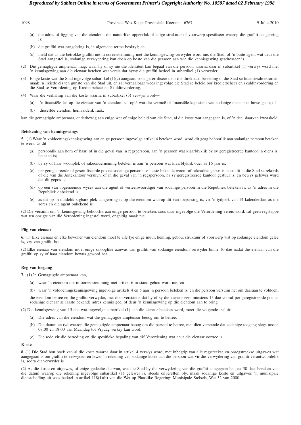| 1098 | Provinsie Wes-Kaap: Provinsiale Koerant<br>6767 | 9 Julie 2010 |
|------|-------------------------------------------------|--------------|
|      |                                                 |              |

- (a) die adres of ligging van die eiendom, die natuurlike oppervlak of enige struktuur of voorwerp spesifiseer waarop die graffiti aangebring is;
- (b) die graffiti wat aangebring is, in algemene terme beskryf; en
- (c) meld dat as die betrokke graffiti nie in ooreenstemming met die kennisgewing verwyder word nie, die Stad, of 'n buite-agent wat deur die Stad aangestel is, sodanige verwydering kan doen op koste van die persoon aan wie die kennisgewing geadresseer is.
- (2) Die gemagtigde amptenaar mag, waar hy of sy nie die identiteit kan bepaal van die persoon waarna daar in subartikel (1) verwys word nie, 'n kennisgewing aan die eienaar beteken wat vereis dat hy/sy die graffiti bedoel in subartikel (1) verwyder.
- (3) Enige koste wat die Stad ingevolge subartikel (1)(c) aangaan, soos gesertifiseer deur die direkteur: besteding in die Stad se finansiesdirektoraat, maak 'n likiede eis ten gunste van die Stad uit, en sal verhaalbaar wees ingevolge die Stad se beleid oor kredietbeheer en skuldinvordering en die Stad se Verordening op Kredietbeheer en Skuldinvordering.
- (4) Waar die verhaling van die koste waarna in subartikel (3) verwys word—
	- (a) 'n finansiële las op die eienaar van 'n eiendom sal oplê wat die vermoë of finansiële kapasiteit van sodanige eienaar te bowe gaan; of
	- (b) dieselfde eiendom herhaaldelik raak;

kan die gemagtigde amptenaar, onderhewig aan enige wet of enige beleid van die Stad, al die koste wat aangegaan is, of 'n deel daarvan kwytskeld.

#### **Betekening van kennisgewings**

**5.** (1) Waar 'n voldoeningskennisgewing aan enige persoon ingevolge artikel 4 beteken word, word dit geag behoorlik aan sodanige persoon beteken te wees, as dit

- (a) persoonlik aan hom of haar, of in die geval van 'n regspersoon, aan 'n persoon wat klaarblyklik by sy geregistreerde kantoor in diens is, beteken is;
- (b) by sy of haar woonplek of sakeonderneming beteken is aan 'n persoon wat klaarblyklik ouer as 16 jaar is;
- (c) per geregistreerde of gesertifiseerde pos na sodanige persoon se laaste bekende woon- of sakeadres gepos is, soos dit in die Stad se rekords of dié van die Aktekantoor verskyn, of in die geval van 'n regspersoon, na sy geregistreerde kantoor gestuur is, en bewys gelewer word dat dit gepos is;
- (d) op een van bogenoemde wyses aan die agent of verteenwoordiger van sodanige persoon in die Republiek beteken is, as 'n adres in die Republiek onbekend is;
- (e) as dit op 'n duidelik sigbare plek aangebring is op die eiendom waarop dit van toepassing is, vir 'n tydperk van 14 kalenderdae, as die adres en die agent onbekend is.

(2) Die versuim om 'n kennisgewing behoorlik aan enige persoon te beteken, soos daar ingevolge dié Verordening vereis word, sal geen regstappe wat ten opsigte van dié Verordening ingestel word, ongeldig maak nie.

#### **Plig van eienaar**

**6.** (1) Elke eienaar en elke bewoner van eiendom moet te alle tye enige muur, heining, gebou, struktuur of voorwerp wat op sodanige eiendom geleë is, vry van graffiti hou.

(2) Elke eienaar van eiendom moet enige onooglike aanwas van graffiti van sodanige eiendom verwyder binne 10 dae nadat die eienaar van die graffiti op sy of haar eiendom bewus geword het.

#### **Reg van toegang**

**7.** (1) 'n Gemagtigde amptenaar kan,

(a) waar 'n eiendom nie in ooreenstemming met artikel 6 in stand gehou word nie; en

(b) waar 'n voldoeningskennisgewing ingevolge artikels 4 en 5 aan 'n persoon beteken is, en die persoon versuim het om daaraan te voldoen;

die eiendom betree en die graffiti verwyder, met dien verstande dat hy of sy die eienaar eers minstens 15 dae vooraf per geregistreerde pos na sodanige eienaar se laaste bekende adres kennis gee, of deur 'n kennisgewing op die eiendom aan te bring.

(2) Die kennisgewing van 15 dae wat ingevolge subartikel (1) aan die eienaar beteken word, moet die volgende insluit:

- (a) Die adres van die eiendom wat die gemagtigde amptenaar beoog om te betree.
- (b) Die datum en tyd waarop die gemagtigde amptenaar beoog om die perseel te betree, met dien verstande dat sodanige toegang slegs tussen 08:00 en 18:00 van Maandag tot Vrydag verkry kan word.
- (c) Die rede vir die betreding en die spesifieke bepaling van dié Verordening wat deur die eienaar oortree is.

#### **Koste**

**8.** (1) Die Stad hou boek van al die koste waarna daar in artikel 4 verwys word, met inbegrip van alle regstreekse en onregstreekse uitgawes wat aangegaan is om graffiti te verwyder, en lewer 'n rekening van sodanige koste aan die persoon wat vir die verwydering van graffiti verantwoordelik is, sodra dit verwyder is.

(2) As die koste en uitgawes, of enige gedeelte daarvan, wat die Stad by die verwydering van die graffiti aangegaan het, na 30 dae, bereken van die datum waarop die rekening ingevolge subartikel (1) gelewer is, steeds onvereffen bly, maak sodanige koste en uitgawes 'n munisipale diensteheffing uit soos bedoel in artikel 118(1)(b) van die Wet op Plaaslike Regering: Munisipale Stelsels, Wet 32 van 2000.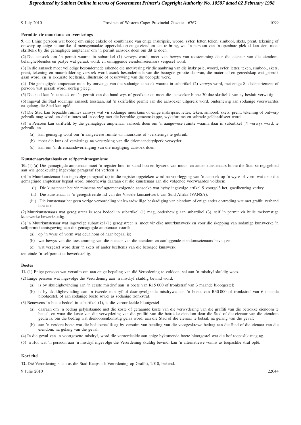#### **Permitte vir muurkuns en -versierings**

**9.** (1) Enige persoon wat beoog om enige enkele of kombinasie van enige inskripsie, woord, syfer, letter, teken, simbool, skets, prent, tekening of ontwerp op enige natuurlike of mensgemaakte oppervlak op enige eiendom aan te bring, wat 'n persoon van 'n openbare plek af kan sien, moet skriftelik by die gemagtigde amptenaar om 'n permit aansoek doen om dit te doen.

(2) Die aansoek om 'n permit waarna in subartikel (1) verwys word, moet van bewys van toestemming deur die eienaar van die eiendom, belanghebbendes en partye wat geraak word, en omliggende eiendomseienaars vergesel word.

(3) In die aansoek moet volledige besonderhede rakende die motivering vir die aanbring van die inskripsie, woord, syfer, letter, teken, simbool, skets, prent, tekening en muurskildering verstrek word, asook besonderhede van die beoogde grootte daarvan, die materiaal en gereedskap wat gebruik gaan word, en 'n akkurate beeltenis, illustrasie of beskrywing van die beoogde werk.

(4) Die gemagtigde amptenaar moet by ontvangs van die sodanige aansoek waarna in subartikel (2) verwys word, met enige Stadsdepartement of persoon wat geraak word, oorleg pleeg.

(5) Die stad kan 'n aansoek om 'n permit van die hand wys of goedkeur en moet die aansoeker binne 30 dae skriftelik van sy besluit verwittig.

(6) Ingeval die Stad sodanige aansoek toestaan, sal 'n skriftelike permit aan die aansoeker uitgereik word, onderhewig aan sodanige voorwaardes na gelang die Stad kan oplê.

(7) Die Stad kan bepaalde ruimtes aanwys wat vir sodanige muurkuns of enige inskripsie, letter, teken, simbool, skets, prent, tekening of ontwerp gebruik mag word, en dié ruimtes sal in oorleg met die betrokke gemeenskappe, wyksforums en subrade geïdentifiseer word.

(8) 'n Persoon kan skriftelik by die gemagtigde amptenaar aansoek doen om 'n aangewese ruimte waarna daar in subartikel (7) verwys word, te gebruik, en

- (a) kan gemagtig word om 'n aangewese ruimte vir muurkuns of -versierings te gebruik;
- (b) moet die kuns of versierings na verstryking van die driemaandetydperk verwyder;
- (c) kan om 'n driemaandeverlenging van die magtiging aansoek doen.

#### **Kunstenaarsdatabasis en selfpermitmeganisme**

**10.** (1) (a) Die gemagtigde amptenaar moet 'n register hou, in stand hou en bywerk van muur- en ander kunstenaars binne die Stad se regsgebied aan wie goedkeuring ingevolge paragraaf (b) verleen is.

(b) 'n Muurkunstenaar kan ingevolge paragraaf (a) in die register opgeteken word na voorlegging van 'n aansoek op 'n wyse of vorm wat deur die gemagtigde amptenaar bepaal word, onderhewig daaraan dat die kunstenaar aan die volgende voorwaardes voldoen:

- (i) Die kunstenaar het vir minstens vyf agtereenvolgende aansoeke wat hy/sy ingevolge artikel 9 voorgelê het, goedkeuring verkry.
- (ii) Die kunstenaar is 'n geregistreerde lid van die Visuele-kunsnetwerk van Suid-Afrika (VANSA).
- (iii) Die kunstenaar het geen vorige veroordeling vir kwaadwillige beskadiging van eiendom of enige ander oortreding wat met graffiti verband hou nie.

(2) Muurkunstenaars wat geregistreer is soos bedoel in subartikel (1) mag, onderhewig aan subartikel (3), self 'n permit vir hulle toekomstige kunswerke bewerkstellig.

(3) 'n Muurkunstenaar wat ingevolge subartikel (1) geregistreer is, moet vir elke muurkunswerk en voor die skepping van sodanige kunswerke 'n selfpermitkennisgewing aan die gemagtigde amptenaar voorlê,

- (a) op 'n wyse of vorm wat deur hom of haar bepaal is;
- (b) wat bewys van die toestemming van die eienaar van die eiendom en aanliggende eiendomseienaars bevat; en
- (c) wat vergesel word deur 'n skets of ander beeltenis van die beoogde kunswerk,

ten einde 'n selfpermit te bewerkstellig.

#### **Boetes**

**11.** (1) Enige persoon wat versuim om aan enige bepaling van dié Verordening te voldoen, sal aan 'n misdryf skuldig wees.

(2) Enige persoon wat ingevolge dié Verordening aan 'n misdryf skuldig bevind word,

- (a) is by skuldigbevinding aan 'n eerste misdryf aan 'n boete van R15 000 of tronkstraf van 3 maande blootgestel;
- (b) is by skuldigbevinding aan 'n tweede misdryf of daaropvolgende misdrywe aan 'n boete van R30 000 of tronkstraf van 6 maande blootgestel, of aan sodanige boete sowel as sodanige tronkstraf.

(3) Benewens 'n boete bedoel in subartikel (1), is die veroordeelde blootgestel—

- (a) daaraan om 'n bedrag gelykstaande met die koste of geraamde koste van die verwydering van die graffiti van die betrokke eiendom te betaal, en waar die koste van die verwydering van die graffiti van die betrokke eiendom deur die Stad of die eienaar van die eiendom gedra is, om die bedrag wat dienooreenkomstig gelas word, aan die Stad of die eienaar te betaal, na gelang van die geval;
- (b) aan 'n verdere boete wat die hof toepaslik ag by versuim van betaling van die voorgeskrewe bedrag aan die Stad of die eienaar van die eiendom, na gelang van die geval.
- (4) In die geval van 'n voortgesette misdryf, word die veroordeelde aan enige bykomende boete blootgestel wat die hof toepaslik mag ag.
- (5) 'n Hof wat 'n persoon aan 'n misdryf ingevolge dié Verordening skuldig bevind, kan 'n alternatiewe vonnis as toepaslike straf oplê.

#### **Kort titel**

**12.** Dié Verordening staan as die Stad Kaapstad: Verordening op Graffiti, 2010, bekend.

#### 9 Julie 2010 22044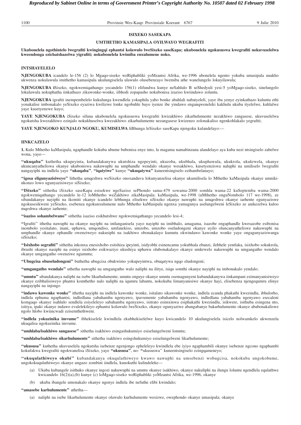#### **ISIXEKO SASEKAPA**

#### **UMTHETHO KAMASIPALA OYILWAYO WEGRAFITI**

**Ukubonelela ngothintelo lwegrafiti kwingingqi ephantsi kolawulo lweSixeko saseKapa; ukubonelela ngokususwa kwegrafiti nokuvuselelwa kweendonga ezichatshazelwa yigrafiti; nokubonelela kwimiba enxulumene noko.**

#### **INTSHAYELELO**

**NJENGOKUBA** icandelo le-156 (2) lo Mgaqo-siseko weRiphabliki yoMzantsi Afrika, we-1996 ubonelela ngento yokuba umasipala unakho ukwenza nokulawula imithetho kamasipala ukulungiselela ulawulo olusebenzayo lwemiba athe wanelungelo lokuyilawula;

**NJENGOKUBA i**Sixeko, ngokwemiqathango yecandelo 156(1) elifundwa kunye neSahlulo B seShedyuli yesi-5 yoMgaqo-siseko, sinelungelo lokulawula nokuphatha iinkathazo zikawonke-wonke, iibhodi zopapasho nokubonisa izaziso kwiindawo zoluntu.

**NJENGOKUBA** igrafiti inempembelelo kukulunga kwendlela yokuphila yabo bonke abahlali nabatyeleli, yaye iba yenye eyinkathazo kuluntu ethi yonakalise imbonakalo yeSixeko eyaziwa kwilizwe lonke ngobuhle bayo iyenze ibe yindawo enganqweneleki kakhulu ukuba ityelelwe, kuhlalwe yaye kusetyenzwe kuyo;

**YAYE NJENGOKUBA** iSixeko sifuna ukubonelela ngokususwa kwegrafiti kwizakhiwo zikarhulumente nezakhiwo zangasese, ukuvuselelwa ngokutsha kwezakhiwo ezinjalo nokukhuselwa kwezakhiwo zikarhulumente nezangasese kwizenzo zolonakaliso ngenkohlakalo yegrafiti;

**YAYE NJENGOKO KUNJALO NGOKU, KUMISELWA** liBhunga leSixeko saseKapa njengoku kulandelayo:—

#### **IINKCAZELO**

**1.** Kulo Mthetho kaMasipala, ngaphandle kokuba ubume bubonisa enye into, la magama namabinzana alandelayo aya kuba nezi ntsingiselo zabelwe wona, yaye—

**''ukuqaba''** kuthetha ukupeyinta, kubandakanywa ukutshiza ngepeyinti, ukuzoba, ukubhala, ukuphawula, ukukrola, ukukrwela, okanye ukuncanyatheliswa okanye ukuboniswa nakuwuphi na umphandle wendalo okanye wesakhiwo, kusetyenziswa naluphi na umiliselo lwegrafiti nangayiphi na indlela yaye **''ukuqaba''**, **''iqatyiwe''** kunye **''ukuqatywa''** kuneentsingiselo ezihambelanayo;

**''igosa eligunyazisiweyo''** lithetha umqeshwa weSixeko onoxanduva lokunyanzelisa okanye ukumilisela lo Mthetho kaMasipala okanye umnikinkonzo lowo ugunyazisiweyo siSixeko;

**''ISixeko''** sithetha iSixeko saseKapa esisekwe ngeSaziso sePhondo sama-479 sowama-2000 somhla wama-22 kuSeptemba wama-2000 ngokwemiqathango yecandelo le-12 loMthetho weZakhiwo zikaMasipala: kaMasipala, we-1998 (uMthetho onguNombolo 117 we-1998), ze sibandakanye nayiphi na ikomiti okanye icandelo lebhunga elisekwe siSixeko okanye nawuphi na umqeshwa okanye iarhente egunyaziswe ngokusesikweni yeSixeko, esebenza ngokunxulumene nalo Mthetho kaMasipala ngenxa yamagunya aselungelweni leSixeko ze anikezelwa kuloo mqeshwa okanye iarhente;

**''isaziso sohambelwano''** sithetha isaziso esikhutshwe ngokwemiqathango yecandelo lesi-4;

**''**Igrafiti'' ithetha nawuphi na okanye nayiphi na intlanganisela yayo nayiphi na imibhalo, amagama, isazobe engaphandle kwesazobe esibonisa inombolo yesitalato, inani, uphawu, umqondiso, umfanekiso, umzobo, umzobo oseludongeni okanye uyilo oluncanyatheliswe nakuwuphi na umphandle okanye ophandle owenziweyo nakusiphi na isakhiwo obonakalayo kumntu okwindawo kawonke wonke yaye ongagunyaziswanga siSixeko;

**''Isixhobo segrafiti''** sithetha inkonxa enesixhobo esitshiza ipeyinti, isidyobhi esinencamu yokubhala ebanzi, ilebhele yentlaka, isixhobo sokukrola, ibrashi okanye nasiphi na esinye isixhobo esikwaziyo ukushiya uphawu olubonakalayo okanye umkrwelo nakuwuphi na umgangatho wendalo okanye umgangatho owenziwe ngumntu;

**''Ubugcisa obuseludongeni''** buthetha ubugcisa obukwimo yokupeyintwa, obuqatywa ngqo eludongeni;

**''umgangatho wendalo''** uthetha nawuphi na umgangatho walo naliphi na ilitye, isiqu somthi okanye nayiphi na imbonakalo yendalo;

**''umntu''** ubandakanya naliphi na isebe likarhulumente, umntu onguye okanye umntu osemagunyeni kubandakanywa iinkampani ezimanyanisiweyo okanye ezibhalisiweyo phantsi komthetho nalo naliphi na iqumru labantu, nokokuba limanyanisiwe okanye hayi, elisebenza njengequmru elinye nangayiphi na injongo

**''indawo kawonke wonke''** ithetha nayiphi na indlela kawonke wonke, isitalato sikawonke wonke, indlela ecanda phakathi kwezindlu, ibhulorho, indlela ephuma ngaphantsi, indledlana yabahamba ngenyawo, ipavumente yabahamba ngenyawo, indledlana yabahamba ngenyawo esecaleni komgaqo okanye isahlulo sendlela esiyeleleyo sabahamba ngenyawo, isitrato esimxinwa esiphakathi kwezindlu, isikwere, isithuba esingena nto, isitiya, ipaki okanye indawo evalelekileyo ephantsi kolawulo lweSixeko, okanye ogunyaziwe abangabanye bakarhulumente okanye ababonakaliswe ngolo hlobo kwiincwadi ezisemthethweni.

**''indlela yokuzinika imvume''** ibhekiselele kwindlela ekubhekiselelwe kuyo kwicandelo 10 ukulungiselela isicelo nolwamkelo ukwenzela ukuqalisa ngokuzinika imvume.

**''umhlaba/isakhiwo sangasese''** sithetha isakhiwo esingashukumiyo esiselungelweni lomntu;

**''umhlaba/isakhiwo sikarhulumente''** sithetha isakhiwo esingshukumiyo esiselungelweni likarhulumente;

**''ukususa''** kuthetha ukuvuselela ngokutsha isebenze ngenjongo epheleleyo kwindlela ebe iyiyo ngaphambili okanye isebenze ngcono ngaphambi kokufakwa kwegrafiti ngokwanelisa iSixeko, yaye **''ukususa''**, no- **''**ukususwa'' kuneentsingiselo ezingqameneyo;

**''okuqulathiweyo okubi''** kubandakanya okuqulathiweyo kwawo nawuphi na umsebenzi wobugcisa, nokokuba ungokobume, ungokokuqulathiweyo okanye ungazo zombini iindlela, kunokuthi kulindeleke—

- (a) Ukuba kubangele isithuko okanye ingozi nakuwuphi na umntu okanye isakhiwo, okanye nakuliphi na ilungu loluntu ngendlela equlathwe kwicandelo 16(2)(a),(b) kunye (c) loMgaqo-siseko weRiphabliki yoMzantsi Afrika, we-1996, okanye
- (b) ukuba ibangele umonakalo okanye ngenye indlela ibe nefuthe elibi kwindalo;

#### **''amasebe karhulumente''** athetha—

(a) naliphi na isebe likarhulumente okanye olawulo kurhulumente wesizwe, owephondo okanye umasipala; okanye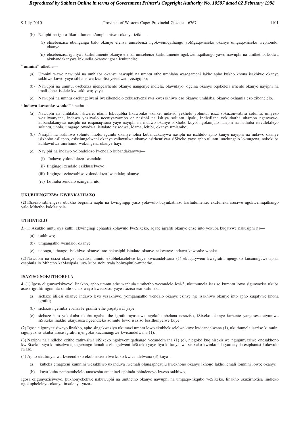#### 9 July 2010 Province of Western Cape: Provincial Gazette 6767 1101

- (b) Naliphi na igosa likarhulumente/umphathiswa okanye iziko—
	- (i) elisebenzisa ubunganga balo okanye elenza umsebenzi ngokwemiqathango yoMgaqo-siseko okanye umgaqo-siseko wephondo; okanye
	- (ii) elisebenzisa igunya likarhulumente okanye elenza umsebenzi karhulumente ngokwemiqathango yawo nawuphi na umthetho, kodwa akubandakanywa inkundla okanye igosa lenkundla;

#### **''umnini''** uthetha—

- (a) Umnini wawo nawuphi na umhlaba okanye nawuphi na umntu othe umhlaba wasegameni lakhe apho kukho khona isakhiwo okanye sakhiwe kuwo yaye sibhalisiwe kwiofisi yeencwadi zezigqibo;
- (b) Nawuphi na umntu, osebenza njengearhente okanye nangenye indlela, olawulayo, ogcina okanye oqokelela irhente okanye nayiphi na imali ebhekiselele kwisakhiwo; yaye
- (c) Nawuphi na umntu oselungelweni lwezibonelelo zokusetyenziswa kwesakhiwo eso okanye umhlaba, okanye oxhamla ezo zibonelelo.

#### **''indawo kawonke wonke''** ithetha—

- (a) Nawuphi na umhlaba, iskwere, idami lokuqubha likawonke wonke, indawo yekhefu yoluntu, isiza sokuzonwabisa soluntu, umyezo wezilwanyana, indawo yezityalo neentyatyambo or nasiphi na isitiya soluntu, ipaki, indledlana yokuthatha uhambo ngenyawo, kubandakanywa nasiphi na isiqanaqwana yaye nayiphi na indawo okanye isixhobo kuyo, ngokunjalo nasiphi na isithuba esivulekileyo soluntu, uhola, umgaqo owodwa, isitalato esisodwa, idama, ichibi, okanye umlambo;
- (b) Nasiphi na isakhiwo soluntu, iholo, igumbi okanye iofisi kubandakanywa nasiphi na isahlulo apho kunye nayiphi na indawo okanye isixhobo esilapho, esiselungelweni okanye esilawulwa okanye esirhentiswa siSixeko yaye apho uluntu lunelungelo lokungena, nokokuba kuhlawulwa umrhumo wokungena okanye hayi;,
- (c) Nayiphi na indawo yolondolozo lwendalo kubandakanywa—
	- (i) Indawo yolondolozo lwendalo;
	- (ii) Iingingqi zendalo ezikhuselweyo;
	- (iii) Iingingqi ezinexabiso zolondolozo lwendalo; okanye
	- (iv) Izithuba zendalo ezingena nto.

#### **UKUBHENGEZWA KWENKATHAZO**

**(2)** ISixeko sibhengeza ubukho begrafiti naphi na kwingingqi yaso yolawulo buyinkathazo karhulumente, ekufuneka isusiwe ngokwemiqathango yalo Mthetho kaMasipala.

#### **UTHINTELO**

**3.** (1) Akukho mntu oya kuthi, ekwinginqi ephantsi kolawulo lweSixeko, aqabe igrafiti okanye enze into yokuba kuqatywe nakusiphi na—

- (a) isakhiwo;
- (b) umgangatho wendalo; okanye
- (c) udonga, uthango, isakhiwo okanye into nakusiphi isitalato okanye nakwenye indawo kawonke wonke.

(2) Nawuphi na osiza okanye oncedisa umntu ekubhekiselelwe kuye kwicandelwana (1) ekuqatyweni kwegrafiti njengoko kucamngcwe apha, esaphula lo Mthetho kaMasipala, uya kuba nobutyala bolwaphulo-mthetho.

#### **ISAZISO SOKUTHOBELA**

**4.** (1) Igosa eligunyazisiweyol linakho, apho umntu athe waphula umthetho wecandelo lesi-3, ukuthumela isaziso kumntu lowo sigunyazisa ukuba asuse igrafiti ngomhla othile ochaziweyo kwisaziso, yaye isaziso eso kufuneka—

- (a) sichaze idilesi okanye indawo leyo yesakhiwo, yomgangatho wendalo okanye esinye nje isakhiwo okanye into apho kuqatywe khona igrafiti:
- (b) sichaze ngemiba ebanzi le graffiti ethe yaqatywa; yaye
- (c) sichaze into yokokuba ukuba ngaba ithe igrafiti ayasuswa ngokuhambelana nesaziso, iSixeko okanye iarhente yangasese etyunjwe siSixeko inakho ukuyisusa ngeendleko zomntu lowo isaziso besithunyelwe kuye.

(2) Igosa eligunyazisiweyo linakho, apho singakwaziyo ukumazi umntu lowo ekubhekiselelwe kuye kwicandelwana (1), ukuthumela isaziso kumnini sigunyazisa ukuba asuse igrafiti njengoko kucamangiwe kwicandelwana (1).

(3) Naziphi na iindleko ezithe zathwalwa siSixeko ngokwemiqathango yecandelwana (1) (c), njegoko kuqinisekisiwe ngugunyaziwe onesakhono kwiSixeko, siya kumiselwa njengebango lemali eselungelweni leSixeko yaye liya kufunyanwa sisixeko kwinkundla yamatyala esiphantsi kolawulo lwaso.

(4) Apho ukufunyanwa kweendleko ekubhekiselelwe kuko kwicandelwana (3) kuya—

- (a) kubeka emagxeni kumnini wesakhiwo uxanduva lwemali olungaphezulu kwekhono okanye ikhono lakhe lemali lomnini lowo; okanye
- (b) kuya kuba nempembelelo amaxesha amaninzi aphinda-phindeneyo kweso sakhiwo,

Igosa eligunyazisiweyo, kuxhonyekekwe nakuwuphi na umthetho okanye nawuphi na umgaqo-nkqubo weSixeko, linakho ukuzirhoxisa iindleko ngokupheleleyo okanye inxalenye yazo..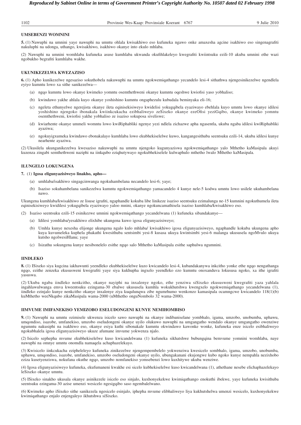1102 Provinsie Wes-Kaap: Provinsiale Koerant 6767 9 Julie 2010

#### **UMSEBENZI WOMNINI**

**5.** (1) Nawuphi na umnini yaye nawuphi na umntu ohlala kwisakhiwo eso kufuneka ngawo onke amaxesha agcine isakhiwo eso singenagrafiti nakuluphi na udonga, uthango, kwisakhiwo, isakhiwo okanye into ekulo mhlaba.

(2) Nawuphi na umnini womhlaba kufuneka asuse kumhlaba ukwanda okufihlakeleyo kwegrafiti kwiintsuku ezili-10 akuba umnini ethe wazi ngobukho begrafiti kumhlaba wakhe.

#### **UKUNIKEZELWA KWEZAZISO**

**6.** (1) Apho kunikezelwe ngesaziso sokuthobela nakuwuphi na umntu ngokwemiqathango yecandelo lesi-4 sithathwa njengesinikezelwe ngendlela eyiyo kumntu lowo xa sithe sanikezelwa—

- (a) ngqo kumntu lowo okanye kwimeko yomntu osemthethweni okanye kumntu oqeshwe kwiofisi yaso yobhaliso;
- (b) kwindawo yakhe ahlala kuyo okanye yoshishino kumntu ongaphezulu kubudala beminyaka eli-16;
- (c) ngeleta ethunyelwe ngerejista okanye ileta eqinisekisiweyo kwidelisi yokugqibela eyaziwayo ebehlala kuyo umntu lowo okanye idilesi yoshishino njengoko ibonakala kwiinkcukacha ezibhaliweyo zeSixeko okanye ezeOfisi yeziGqibo, okanye kwimeko yomntu osemthethweni, kwiofisi yakhe yobhaliso ze isaziso sokuposa siveliswe;
- (d) kwiarhente okanye ummeli womntu lowo kwiRiphabliki ngenye yezi ndlela zichazwe apha ngasentla, ukuba ngaba idilesi kwiRiphabliki ayaziwa;
- (e) ngokuyigxumeka kwindawo ebonakalayo kumhlaba lowo ekubhekiselelwe kuwo, kangangesithuba seentsuku ezili-14, ukuba idilesi kunye nearhente ayaziwa.

(2) Ukusilela ukunganikezelwa kwesaziso nakuwuphi na umntu njengoko kugunyaziswa ngokwemiqathango yalo Mthetho kaMasipala akuyi kuzenza zingabi semthethweni naziphi na iinkqubo eziqhutywayo ngokubhekiselele kulwaphulo mthetho lwalo Mthetho kaMasipala.

#### **ILUNGELO LOKUNGENA**

#### **7.** (1) **Igosa eligunyazisiweyo linakho, apho—**

- (a) umhlaba/isakhiwo singagcinwanga ngokuhambelana necandelo lesi-6; yaye;
- (b) Isaziso sokuhambelana sanikezelwa kumntu ngokwemiqathango yamacandelo 4 kunye nele-5 kodwa umntu lowo usilele ukuhambelana nawo.

Ukungena kumhlaba/kwisakhiwo ze lisuse igrafiti, ngaphandle kokuba libe linikeze isaziso seentsuku ezimalunga ne-15 kumnini ngokuthumela ileta eqinisekisiweyo kwidilesi yokugqibela eyaziwayo yaloo mnini, okanye ngokuncamathisela isaziso kumhlaba/kwisakhiwo eso.

- (2) Isaziso seentsuku ezili-15 esinikezwe umnini ngokwemiqathango yecandelwana (1) kufuneka sibandakanye—
	- (a) Idilesi yomhlaba/yesakhiwo elixhibe ukungena kuwo igosa eligunyazisiweyo;
	- (b) Umhla kunye nexesha elijonge ukungena ngalo kulo mhlaba/ kwisakhiwo igosa eligunyazisiweyo, ngaphandle kokuba ukungena apho kuya kuvumeleka kuphela phakathi kwesithuba sentsimbi yesi-8 kusasa ukuya kwintsimbi yesi-6 malanga ukususela ngoMvulo ukuya kutsho ngolwesiHlanu; yaye
	- (c) Isizathu sokungena kunye nesibonelelo esithe ngqo salo Mthetho kaMasipala esithe saphulwa ngumnini.

#### **IINDLEKO**

**8.** (1) ISixeko siya kugcina iakhawunti yeendleko ekubhekiselelwe kuzo kwicandelo lesi-4, kubandakanywa inkcitho yonke ethe ngqo nengathanga ngqo, ezithe zenzeka ekususweni kwegrafiti yaye siya kukhupha ingxelo yeendleko ezo kumntu onoxanduva lokususa ngoko, xa ithe igrafiti yasuswa.

(2) Ukuba ngaba iindleko nenkcitho, okanye nayiphi na inxalenye ngoko, ethe yenziwa siSixeko ekususweni kwegrafiti yaza yahlala ingahlawulwanga emva kweentsuku ezingama-30 ebalwe ukususela kumhla wokukhutshwa kwengxelo ngokwemiqathango yecandelwana (1), iindleko ezinjalo kunye nenkcitho okanye inxalenye ziya kuqulunqwa zibe ngumrhumo wenkonzo kamasipala ocamngcwe kwicandelo 118(1)(b) kuMthetho weeNkqubo zikaMasipala wama-2000 (uMthetho onguNombolo  $32$  wama-2000).

#### **IIMVUME IMIFANEKISO YEMIZOBO ESELUDONGENI KUNYE NEMIHOMBISO**

**9.** (1) Nawuphi na umntu ozimisele ukwenza isicelo sawo nawuphi na okanye indibaniselane yombhalo, igama, umzobo, unobumba, uphawu, umqondiso, isazobe, umfanekiso, umzobo oseludongeni okanye uyilo olukuwo nawuphi na umgangatho wendalo okanye umgangatho owenziwe ngumntu nakusiphi na isakhiwo eso, okanye esiya kuthi sibonakale kumntu okwindawo kawonke wonke, kufuneka enze isicelo esibhaliweyo ngokubhalela igosa eligunyazisiweyo ukuze afumane imvume yokwenza njalo.

(2) Isicelo sephepha mvume ekubhekiselelwe kuso kwicandelwana (1) kufuneka sikhatshwe bubungqina bemvume yomnini womhlaba, naye nawuphi na omnye umntu onomdla namaqela achaphazelekayo.

(3) Kwisicelo iinkcukacha ezipheleleyo kufuneka zinikezelwe njengempembelelo yokwenziwa kwesicelo sombhalo, igama, umzobo, unobumba, uphawu, umqondiso, isazobe, umfanekiso, umzobo oseludongeni okanye uyilo, ubungakanani ekujongwe kubo ngoko kunye nempahla nezixhobo eziza kusetyenziswa, nokufana okuthe ngqo, umzobo nomfanekiso yomsebenzi lowo kuxhitywe ukuba wenziwe.

(4) Igosa eligunyazisiweyo kufuneka, ekufumaneni kwakhe esi sicelo kubhekiselelwe kuso kwicandelwana (1), athethane nesebe elichaphazelekayo leSixeko okanye umntu.

(5) ISixeko sinakho ukusala okanye asinikezele isicelo eso sinjalo, kuxhonyekekwe kwimiqathango enokuthi ibekwe, yaye kufuneka kwisithuba seentsuku ezingama-30 azise umenzi wesicelo ngesigqibo saso ngembalelwano.

(6) Kwimeko apho iSixeko sithe sanikezela ngesicelo esinjalo, iphepha mvume elibhaliweyo liya kukhutshelwa umenzi wesicelo, kuxhonyekekwe kwimiqathango enjalo enjengaleyo ikhutshwa siSixeko.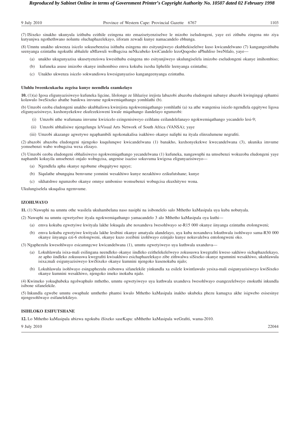(7) ISixeko sinakho ukunyula izithuba ezithile ezingena nto emazisetyenziselwe le mizobo iseludongeni, yaye ezi zithuba zingena nto ziya kutyunjwa ngothethwano noluntu oluchaphazelekayo, iiforam zewadi kunye namacandelo ebhunga.

(8) Umntu unakho ukwenza isicelo sokusebenzisa isithuba esingena nto esityunjiweyo ekubhekiselelwe kuso kwicandelwano (7) kangangesithuba seenyanga ezintathu ngokuthi abhalele uMlawuli woBugcisa neNkcubeko kwiCandelo lezoQoqosho uPhuhliso lweNtlalo, yaye—

- (a) unakho ukugunyazisa ukusetyenziswa kwesithuba esingena nto esityunjiweyo ukulungiselela imizobo eseludongeni okanye imihombiso;
- (b) kufuneka asuse imizobo okanye imihombiso emva kokuba ixesha liphelile leenyanga ezintathu;
- (c) Unakho ukwenza isicelo sokwandiswa kwesigunyaziso kangangeenyanga ezintathu.

#### **Uluhlu lweenkcukacha zegcisa kunye neendlela ezamkelayo**

**10.** (1)(a) Igosa eligunyazisiweyo kufuneka ligcine, lilolonge ze lihlaziye irejista labazobi abazoba eludongeni nabanye abazobi kwingingqi ephantsi kolawulo lweSixeko abathe banikwa imvume ngokwemiqathango yomhlathi (b).

(b) Umzobi ozoba eludongeni unakho ukubhaliswa kwirejista ngokwemiqathango yomhlathi (a) xa athe wangenisa isicelo ngendlela egqitywe ligosa eligunyazisiweyo, kuxhonyekekwe ekufezekisweni kwale miqathango ilandelayo ngumzobi:

- (i) Umzobi uthe wafumana imvume kwizicelo ezingenisiweyo ezihlanu ezilandelelanayo ngokwemiqathango yecandelo lesi-9;
- (ii) Umzobi ubhalisiwe njengelungu leVisual Arts Network of South Africa (VANSA); yaye
- (iii) Umzobi akazange agwetywe ngaphambili ngokonakalisa isakhiwo okanye naliphi na ityala elinxulumene negrafiti.

(2) abazobi abazoba eludongeni njengoko kuqulunqwe kwicandelwana (1) banakho, kuxhonyekekwe kwecandelwana (3), ukunika imvume yomsebenzi wabo wobugcisa wexa elizayo.

(3) Umzobi ozoba eludongeni obhalisiweyo ngokwemiqathango yecandelwana (1) kufuneka, nangawuphi na umsebenzi wokuzoba eludongeni yaye naphambi kokuyila umsebenzi onjalo wobugcisa, angenise isaziso sokuvuma kwigosa eligunyazisiweyo—

- (a) Ngendlela apha okanye ngobume obugqitywe nguye;
- (b) Siqulathe ubungqina bemvume yomnini wesakhiwo kunye nezakhiwo ezikufutshane; kunye
- (c) sikhatshwe ngumzobo okanye omnye umboniso womsebenzi wobugcisa ekuxhitywe wona.

Ukulungiselela ukuqalisa ngemvume.

#### **IZOHLWAYO**

**11.** (1) Nawuphi na umntu othe wasilela ukuhambelana naso nasiphi na isibonelelo salo Mthetho kaMasipala uya kuba nobutyala.

(2) Nawuphi na umntu ogwetyelwe ityala ngokwemiqathango yamacandelo 3 alo Mthetho kaMasipala oya kuthi—

- (a) emva kokuba egwetyiwe kwityala lakhe lokuqala abe noxanduva lwesohlwayo se-R15 000 okanye iinyanga ezintathu etolongweni;
- (b) emva kokuba egwetyiwe kwityala lakhe lesibini okanye amatyala alandelayo, uya kuba noxanduva lokuthwala isohlwayo sama-R30 000 okanye iinyanga ezi-6 etolongweni, okanye kuzo zozibini izohlwayo ezinjalo kunye nokuvalelwa entolongweni oko.
- (3) Ngaphezulu kwesohlwayo esicamngcwe kwicandelwana (1), umntu ogwetyiweyo uya kuthwala uxanduva—
	- (a) Lokuhlawula isixa-mali esilingana neendleko okanye iindleko ezithelekelelweyo zokususwa kwegrafiti kweso sakhiwo sichaphazelekayo, ze apho iindleko zokususwa kwegrafiti kwisakhiwo esichaphazelekayo zibe zithwalwa siSixeko okanye ngumnini wesakhiwo, ukuhlawula isixa;mali esigunyazisiweyo kwiSixeko okanye kumnini njengoko kusenokuba njalo;
	- (b) Lokuhlawula isohlwayo esingaphezulu esibonwa sifanelekile yinkundla xa esilele kwintlawulo yesixa-mali esigunyazisiweyo kwiSixeko okanye kumnini wesakhiwo, njengoko imeko inokuba njalo.

(4) Kwimeko yokuqhubeka ngolwaphulo mthetho, umntu ogwetyiweyo uya kuthwala uxanduva lwesohlwayo esangezelelweyo enokuthi inkundla isibone sifanelekile.

(5) Inkundla egwebe umntu owaphule umthetho phantsi kwalo Mthetho kaMasipala inakho ukubeka phezu kamagxa akhe isigwebo esisesinye njengesohlwayo esifanelekileyo.

#### **ISIHLOKO ESIFUTSHANE**

**12.** Lo Mthetho kaMasipala ubizwa ngokuba iSixeko saseKapa: uMthetho kaMasipala weGrafiti, wama-2010.

9 July 2010 22044